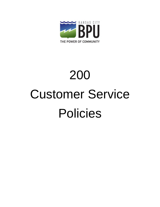<span id="page-0-0"></span>

# 200 Customer Service Policies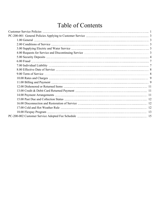## Table of Contents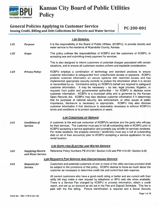<span id="page-2-0"></span>

## Kansas City Board of Public Utilities

### General Policies Applying to Customer Service PC-200-001

Issuing Credit, Billing and Debt Collections for Electric and Water Service

#### 1.00 GENERAL

1.01 Purpose: It is the responsibility of the Board of Public Utilities, (KCBPU), to provide electric and water service to the residents of Wyandotte County, Kansas.

#### 1.02 Scope: This policy outlines the responsibilities of KCBPU and the customers of KCBPU, in accepting use and submitting timely paymen<sup>t</sup> for services.

This is also designed to inform customers of potential charges associated with certain situations, and to ensure all customers receive uniform and equitable consideration.

1.03 Privacy Policy: KCBPU employs a combination of technology and standard practices to ensure customer information is safeguarded from unauthorized access or exposure. KCBPU protects customer information on secure systems with restricted access and has implemented appropriate security controls to protect the information when it is stored or transmitted by us. Contractors acting on KCBPU's behalf are required to safeguard customer information. It may be necessary — by law, legal process, litigation, or requests from public and governmental authorities — for KCBPU to disclose some customer information. KCBPU is <sup>a</sup> municipal utility and is governed by the Kansas Open Records Act. KCBPU may also disclose customer information if it determines that for purposes of national security, law enforcement, or other issues of public importance, disclosure is necessary or appropriate. KCBPU may also disclose customer information if that disclosure is reasonably necessary to enforce KCBPU's terms and conditions or to protect operations or users.

#### 2.00 CONDITIONS OF SERVICE

2.01 Conditions of A customer is the end-use consumer of KCBPU's services and the party who will pay Service: for their services. The customer must pay in full all outstanding debt to KCBPU prior to KCBPU accepting <sup>a</sup> service application and promptly pay all bills for services rendered. For rental locations, the property owner(s) / landlord(s) must pay in full all outstanding debt on all of their account(s) prior to KCBPU accepting <sup>a</sup> service application for any rental location.

#### 3.00 SUPPLYING ELECTRIC AND WATER SERVICE

3.01 Supplying Electric Reference Policy Numbers PE-310-001 Section 4.00 and PW-410-001 Section 6.00 and Water Service:

#### 4.00 REQUESTS FOR SERVICE AND DISCONTINUING SERVICE

4.01 Requests for Customers and potential customers of one or more of the utility services provided shall Service: be subject to the provisions of this policy. KCBPU desires to know as much about the customer as necessary to determine credit risk and control bad debt expense.

> All current customers who have <sup>a</sup> good credit rating or better and are current with their utility bill may make <sup>a</sup> new reques<sup>t</sup> by telephone or BPU web site when available. There is <sup>a</sup> Service Fee charged by KCBPU to process information, obtain <sup>a</sup> credit report, and set up an account as set out in the Fee and Deposit Schedule. This fee is paid with the first billing. Picture identification is required and <sup>a</sup> Social Security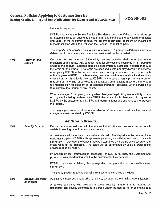<span id="page-3-0"></span>Number is requested.

| KCBPU may waive the Service Fee for a Residential customer if the customer signs up       |  |  |  |  |
|-------------------------------------------------------------------------------------------|--|--|--|--|
| for automatic utility bill payments by bank draft and continues the payments for at least |  |  |  |  |
| one year. If the customer cancels the automatic payment or incurs an insufficient         |  |  |  |  |
| funds transaction within the first year, the Service Fee must be paid.                    |  |  |  |  |

The property to be serviced must qualify for service. If <sup>a</sup> property failed inspection or is determined to be unfit/unsafe for service, service will not be provided.

4.02 Discontinuing Customers of one or more of the utility services provided shall be subject to the Service: provisions of this policy. Any contract made for services shall continue in full force and effect during its term. Services shall be discontinued by customer in accordance with the terms of the contract. If no terms are specified, customer may discontinue services upon giving KCBPU notice at least one business day in advance. In case no such notice is given to KCBPU, the terminating customer shall be responsible for all services supplied until such notice is given to KCBPU. In the case of rental property, the owner may contract in writing for services to be continued automatically in owner's name, with full responsibility for payment of all services thereafter delivered, when services are terminated at the reques<sup>t</sup> of any tenant.

> When <sup>a</sup> change of occupancy or any other change of legal billing responsibility occurs on any service being rendered by KCBPU, the notice of this change shall be given to KCBPU by the customer, and KCBPU will require at least one business day to process the request.

> The outgoing customer shall be responsible for all service rendered until the notice of change has been received by KCBPU.

#### 5.00 SECURITY DEPOSITS

5.01 Security Deposits: Deposits are assessed in an effort to ensure that all utility invoices are collected, which assists in keeping rates from unduly increasing.

> All customers will be subject to <sup>a</sup> maximum deposit. The deposit can be reduced if the customer supplies KCBPU with approved personal, identifiable information. If such information is provided, the deposit may be determined by <sup>a</sup> sliding scale based on the credit rating of the applicant. The scale will be determined by using <sup>a</sup> credit rating service utilized by KCBPU.

> Personal/business information is necessary for KCBPU to know the customer and provide <sup>a</sup> basis of extending credit to the customer for their services.

> KCBPU maintains <sup>a</sup> Privacy Policy regarding the protection of personal/business information.

The criteria used in requiring deposits from customers shall be as follows:

5.02 Residential Service Applicants must provide valid driver's license, passport, state or military identification. Applicants:

> A service applicant, who provides <sup>a</sup> social security number that is returned as deceased, non-issued, belonging to <sup>a</sup> person under the age of 18, or belonging to <sup>a</sup>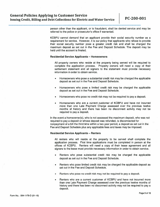person other than the applicant, or is fraudulent, shall be denied service and may be referred to the police or prosecutor's office if warranted.

KCBPU cannot demand that an applicant provide their social security number as <sup>a</sup> requirement for service. However, it is our policy that applicants who refuse to provide their social security number pose <sup>a</sup> greater credit risk and shall be charged the maximum deposit as set out in the Fee and Deposit Schedule. The deposit may be held until the account is finaled.

#### Residential Service Applicants — Homeowners

All properly owners who reside at the property being served will be required to complete the application process. Property owners will need a copy of their settlement statement and all signers to the statement must provide necessary information in order to obtain service.

- • Homeowners who pose <sup>a</sup> substantial credit risk may be charged the applicable deposit as set out in the Fee and Deposit Schedule.
- • Homeowners who pose <sup>a</sup> limited credit risk may be charged the applicable deposit as set out in the Fee and Deposit Schedule.
- •Homeowners who pose no credit risk may not be required to pay <sup>a</sup> deposit.
- • Homeowners who are <sup>a</sup> current customer of KCBPU and have not incurred more than one Late Payment Charge assessed over the previous twelve months of history and there has been no disconnect activity may not be required to pay <sup>a</sup> deposit.

In the event <sup>a</sup> homeowner(s), who is not assessed the maximum deposit, who was not required to pay <sup>a</sup> deposit or whose deposit was refunded, is disconnected for nonpaymen<sup>t</sup> of <sup>a</sup> bill the third time within <sup>a</sup> two year period, <sup>a</sup> deposit as set out in the Fee and Deposit Schedule plus any applicable fees and taxes may be imposed.

#### Residential Service Applicants — Renters

All renters who will reside at the property to be served shall complete the application process. First time applications must be completed in person at the offices of KCBPU. Renters will need <sup>a</sup> copy of their lease agreemen<sup>t</sup> and all signers to the lease must provide necessary information in order to obtain service.

- • Renters who pose substantial credit risk may be charged the applicable deposit as set out in the Fee and Deposit Schedule.
- • Renters who pose limited credit risk may be charged the applicable deposit as set out in the Fee and Deposit Schedule.
- •Renters who pose no credit risk may not be required to pay <sup>a</sup> deposit.
- • Renters who are <sup>a</sup> current customer of KCBPU and have not incurred more than one Late Payment Charge assessed over the previous twelve months of history and there has been no disconnect activity may not be required to pay <sup>a</sup> deposit.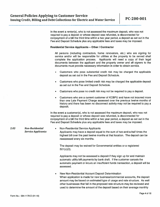|      |                                                      | In the event a renter(s), who is not assessed the maximum deposit, who was not<br>required to pay a deposit or whose deposit was refunded, is disconnected for<br>nonpayment of a bill the third time within a two year period, a deposit as set out in the<br>Fee and Deposit Schedule plus any applicable fees and taxes may be imposed.                                                                         |
|------|------------------------------------------------------|--------------------------------------------------------------------------------------------------------------------------------------------------------------------------------------------------------------------------------------------------------------------------------------------------------------------------------------------------------------------------------------------------------------------|
|      |                                                      | <b>Residential Service Applicants - Other / Contractor</b>                                                                                                                                                                                                                                                                                                                                                         |
|      |                                                      | All persons (including contractors, home renovators, etc.) who are signing for<br>service and/or will be responsible for utilities at the property to be served shall<br>complete the application process. Applicants will need a copy of their legal<br>documents between the applicant and the property owner and all signers to the<br>documents must provide necessary information in order to obtain service. |
|      |                                                      | Customers who pose substantial credit risk may be charged the applicable<br>٠<br>deposit as set out in the Fee and Deposit Schedule.                                                                                                                                                                                                                                                                               |
|      |                                                      | Customers who pose limited credit risk may be charged the applicable deposit<br>٠<br>as set out in the Fee and Deposit Schedule.                                                                                                                                                                                                                                                                                   |
|      |                                                      | Customers who pose no credit risk may not be required to pay a deposit.                                                                                                                                                                                                                                                                                                                                            |
|      |                                                      | Customers who are a current customer of KCBPU and have not incurred more<br>٠<br>than one Late Payment Charge assessed over the previous twelve months of<br>history and there has been no disconnect activity may not be required to pay a<br>deposit.                                                                                                                                                            |
|      |                                                      | In the event a customer(s), who is not assessed the maximum deposit, who was not<br>required to pay a deposit or whose deposit was refunded, is disconnected for<br>nonpayment of a bill the third time within a two year period, a deposit as set out in the<br>Fee and Deposit Schedule plus any applicable fees and taxes may be imposed.                                                                       |
| 5.03 | <b>Non-Residential</b><br><b>Service Applicants:</b> | <b>Non-Residential Service Applicants</b><br>Applicants may have a deposit equal to the sum of two-and-a-half times the<br>highest bill over the past twelve months at that location. The deposit can be<br>reassessed every six months.                                                                                                                                                                           |
|      |                                                      | The deposit may be waived for Governmental entities or a registered<br>$501(c)(3)$ .                                                                                                                                                                                                                                                                                                                               |
|      |                                                      | Applicants may not be assessed a deposit if they sign up for and maintain<br>automatic utility bill payments by bank draft. If the customer cancels the<br>automatic payment or incurs an insufficient funds transaction, a deposit will be<br>assessed.                                                                                                                                                           |
|      |                                                      | New Non-Residential Account Deposit Determination<br>۰<br>When application is made for new business/commercial accounts, the deposit<br>amount may be based on estimated type of usage and rate structure. As well<br>other businesses that fall in the proposed rate structure may be reviewed and<br>used to determine the amount of the deposit based on their average monthly                                  |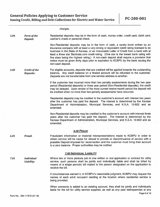charges.

|      | Deposit:                   | cashier's check or personal check.                                                                                                                                                                                                                                                                                                                                                                                                                                                                                                                                          |
|------|----------------------------|-----------------------------------------------------------------------------------------------------------------------------------------------------------------------------------------------------------------------------------------------------------------------------------------------------------------------------------------------------------------------------------------------------------------------------------------------------------------------------------------------------------------------------------------------------------------------------|
|      |                            | Non-Residential deposits may be in the form of cash, a surety bond written by an<br>insurance company with at least a very strong or equivalent credit rating licensed to do<br>business in the State of Kansas, or an Irrevocable Letter of Credit from a bank with at<br>least a three star Bankrate.com credit rating. (One star is the lowest bank rating with<br>five stars being the highest rating.) A non-cash deposit shall require a provision that<br>notice must be given thirty days prior to expiration to KCBPU by the bank issuing the<br>non-cash deposit. |
| 5.05 | Credit of the<br>Deposits: | For eligible accounts, deposits that are credited will be applied towards the outstanding<br>balance. Any credit balance on a finaled account will be refunded to the customer.<br>Deposits are not transferrable from one service address to another.                                                                                                                                                                                                                                                                                                                      |
|      |                            | If the customer has incurred more than two penalty assessments during the two year<br>period (Residential deposits) or three year period (Non-Residential deposits), the credit<br>may be delayed. Upon review of the most current twelve-month period the deposit will<br>be credited when no more than two penalty assessments have occurred.                                                                                                                                                                                                                             |
|      |                            | Residential deposits may be credited to the customer's account with interest two years<br>after the customer has paid the deposit. The interest is determined by the Kansas<br>Department of Administration, Municipal Services, and K.S.A. 12-822 and as<br>amended.                                                                                                                                                                                                                                                                                                       |
|      |                            | Non-Residential deposits may be credited to the customer's account with interest three<br>years after the customer has paid the deposit. The interest is determined by the<br>Kansas Department of Administration, Municipal Services, and K.S.A. 12-822 and as<br>amended.                                                                                                                                                                                                                                                                                                 |
|      |                            | 6.00 FRAUD                                                                                                                                                                                                                                                                                                                                                                                                                                                                                                                                                                  |
|      |                            |                                                                                                                                                                                                                                                                                                                                                                                                                                                                                                                                                                             |

<span id="page-6-0"></span>5.04 Form of the Residential deposits may be in the form of cash, money order, credit card, debit card,

6.01 Fraud: Fraudulent information or material misrepresentations made to KCBPU in order to obtain service will be cause for refusal to provide or discontinuance of service with <sup>a</sup> possible Deposit imposed for reconnection and the customer must bring their account to <sup>a</sup> zero balance. Proper authorities may be notified.

#### 7.00 iNDIVIDUAL LIABILITY

7.01 Individual Where two or more persons join in one written or oral application or contract for utility Liability: service, such persons shall be jointly and individually liable and shall be billed by means of <sup>a</sup> single periodic bill mailed to the person designated on the application to receive the bill.

> If circumstances warrant it, in KCBPU's reasonable judgment, KCBPU may reques<sup>t</sup> the names of each adult occupan<sup>t</sup> residing at the location where residential service is being provided.

> When someone is added to an existing account, they shall be jointly and individually liable for the bill for utility service supplied, as well as any pas<sup>t</sup> delinquencies at any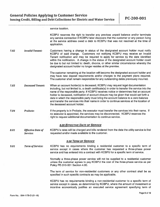service location.

<span id="page-7-0"></span>

|      |                                      | KCBPU reserves the right to transfer any previous unpaid balance and/or terminate<br>any service connection if KCBPU later discovers that the customer or any person living<br>at the service address owed a debt to KCBPU that was not resolved at the time of<br>application.                                                                                                                                                                                                                                                                                                           |
|------|--------------------------------------|-------------------------------------------------------------------------------------------------------------------------------------------------------------------------------------------------------------------------------------------------------------------------------------------------------------------------------------------------------------------------------------------------------------------------------------------------------------------------------------------------------------------------------------------------------------------------------------------|
| 7.02 | <b>Invalid Tenant:</b>               | Customers having a change in status of the designated account holder must notify<br>KCBPU of said change. Customers not notifying KCBPU may receive an Invalid<br>Tenant notification and may be required to apply for service by the date identified<br>within the notification. A change in the status of the designated account holder could<br>be due to but not limited to: death, divorce, or other similar circumstance whereby the<br>designated account holder no longer resides at the premise.                                                                                 |
|      |                                      | The customer remaining at the location will become the designated account holder and<br>may have new deposit requirements and/or charges to the payment plans required.<br>The customer shall remain responsible for any outstanding debts previously incurred.                                                                                                                                                                                                                                                                                                                           |
| 7.03 | <b>Deceased Tenant:</b>              | When an account holder(s) is deceased, KCBPU may request legal documentation<br>including, but not limited to, a death certificate(s) in order to transfer the service into the<br>name of the responsible party. If KCBPU receives notice or determines that an account<br>holder is deceased, notification of account closure may be given that would set forth a<br>date in which the responsible party must bring the account balance to a zero balance<br>and transfer the services into their name in order to continue services at the location of<br>the deceased account holder. |
| 7.04 | Probate:                             | If the property is in Probate, the executor must transfer the services into their name. If<br>no executor is appointed, the services may be disconnected. KCBPU reserves the<br>right to request additional documentation to continue service.                                                                                                                                                                                                                                                                                                                                            |
|      |                                      | <b>8.00 EFFECTIVE DATE OF SERVICE</b>                                                                                                                                                                                                                                                                                                                                                                                                                                                                                                                                                     |
| 8.01 | <b>Effective Date of</b><br>Service: | KCBPU's rates will be charged and bills rendered from the date the utility service is first<br>requested and/or made available to the customer.                                                                                                                                                                                                                                                                                                                                                                                                                                           |
|      |                                      | <b>9.00 TERM OF SERVICE</b>                                                                                                                                                                                                                                                                                                                                                                                                                                                                                                                                                               |
| 9.01 | <b>Term of Service:</b>              | KCBPU has no requirements binding a residential customer to a specific term of<br>service except in cases where the customer has requested a three-phase power<br>service and has entered into a contract with KCBPU for a specific term of service.                                                                                                                                                                                                                                                                                                                                      |
|      |                                      | Normally a three-phase power service will not be supplied to a residential customer<br>unless the customer agrees to pay KCBPU the cost of the three-phase service as per<br>Policy PE-310-001 Section 4.00.                                                                                                                                                                                                                                                                                                                                                                              |
|      |                                      | The term of service for non-residential customers or any other contract shall be as<br>specified in such specific contracts as may be applicable.                                                                                                                                                                                                                                                                                                                                                                                                                                         |
|      |                                      | KCBPU has no requirements binding a non-residential customer to a specific term of<br>service except in cases, as determined by KCBPU, where the amount of investment or<br>incentive economically justifies an executed service agreement specifying term of                                                                                                                                                                                                                                                                                                                             |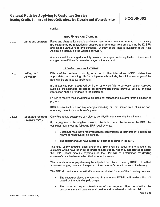<span id="page-8-0"></span>

|       |                                       | service.                                                                                                                                                                                                                                                                                                          |
|-------|---------------------------------------|-------------------------------------------------------------------------------------------------------------------------------------------------------------------------------------------------------------------------------------------------------------------------------------------------------------------|
|       |                                       | <b>10.00 RATES AND CHARGES</b>                                                                                                                                                                                                                                                                                    |
| 10.01 | <b>Rates and Charges:</b>             | Rates and charges for electric and water service to a customer at any point of delivery<br>are established by resolution(s) adopted and amended from time to time by KCBPU<br>and include various fees and penalties. A copy of the rates is available in the Rate<br>Application Manual on the website of KCBPU. |
|       |                                       | Accounts will be charged monthly minimum charges, including Unified Government<br>charges, even if there is no meter usage on the account.                                                                                                                                                                        |
|       |                                       | <b>11.00 BILLING AND PAYMENT</b>                                                                                                                                                                                                                                                                                  |
| 11.01 | <b>Billing and</b><br><b>Payment:</b> | Bills shall be rendered monthly, or at such other interval as KCBPU determines<br>appropriate. In computing bills for multiple month periods, the minimum charges of the<br>rate may be prorated as applicable.                                                                                                   |
|       |                                       | If a meter has been destroyed by fire or otherwise fails to correctly register services<br>supplied, an estimated bill based on consumption during previous periods or other<br>information shall be rendered to the customer.                                                                                    |
|       |                                       | Failure to receive mail, including a bill, does not release the customer from obligation of<br>payment.                                                                                                                                                                                                           |
|       |                                       | KCBPU can back bill for any charges including but not limited to a stuck or non-<br>operating meter for up to three (3) years.                                                                                                                                                                                    |
| 11.02 | <b>Equalized Payment</b>              | Only Residential customers can elect to be billed in equal monthly installments.                                                                                                                                                                                                                                  |
|       | <b>Program (EPP):</b>                 | For a customer to be eligible to elect to be billed under the terms of the EPP, the<br>customer must meet the following EPP requirements:                                                                                                                                                                         |
|       |                                       | Customer must have received service continuously at their present address for<br>۰<br>twelve consecutive billing periods.                                                                                                                                                                                         |
|       |                                       | The customer must have a zero (0) balance to enroll in the EPP.<br>٠                                                                                                                                                                                                                                              |
|       |                                       | The total yearly amount billed under the EPP shall be equal to the amount the<br>customer would have been billed under regular usage, had they not elected to select<br>Initial monthly payments on the EPP will be determined by dividing<br>the EPP.<br>customer's past twelve months billed amount by twelve.  |
|       |                                       | The monthly amount payable may be adjusted from time to time by KCBPU, to reflect<br>any rate changes, balance changes, and the customer's recent consumption history.                                                                                                                                            |
|       |                                       | The EPP will continue automatically unless terminated for any of the following reasons:                                                                                                                                                                                                                           |
|       |                                       | The customer closes the account. In that event, KCBPU will render a final bill<br>۰<br>based on the actual unpaid usage.                                                                                                                                                                                          |

• The customer requests termination of the program. Upon termination, the customer's unpaid balance shall be due and payable with their next bill.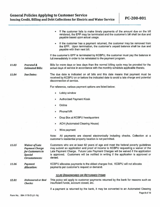|       |                                                                                                        | If the customer fails to make timely payments of the amount due on the bill<br>۰<br>rendered, the EPP may be terminated and the customer's bill shall be due and<br>payable based upon actual usage.                                                                                                                                                             |
|-------|--------------------------------------------------------------------------------------------------------|------------------------------------------------------------------------------------------------------------------------------------------------------------------------------------------------------------------------------------------------------------------------------------------------------------------------------------------------------------------|
|       |                                                                                                        | If the customer has a payment returned, the customer may be removed from<br>the EPP. Upon termination, the customer's unpaid balance shall be due and<br>payable with their next bill.                                                                                                                                                                           |
|       |                                                                                                        | If the customer's EPP is terminated by KCBPU, the customer must pay the balance in<br>full immediately in order to be reinstated to the payment program.                                                                                                                                                                                                         |
| 11.03 | <b>Prorated &amp;</b><br><b>Estimated Bills:</b>                                                       | Bills for more days or less days than the normal billing cycle may be prorated for the<br>actual days of service in accordance with the monthly schedule applicable thereto.                                                                                                                                                                                     |
| 11.04 | <b>Due Dates:</b>                                                                                      | The due date is indicated on all bills and this date means that payment must be<br>received by KCBPU on or before the indicated date to avoid a late charge and potential<br>disconnection of service.                                                                                                                                                           |
|       |                                                                                                        | For reference, various payment options are listed below:                                                                                                                                                                                                                                                                                                         |
|       |                                                                                                        | Lobby window<br>۰                                                                                                                                                                                                                                                                                                                                                |
|       |                                                                                                        | <b>Authorized Payment Kiosk</b><br>٠                                                                                                                                                                                                                                                                                                                             |
|       |                                                                                                        | Online                                                                                                                                                                                                                                                                                                                                                           |
|       |                                                                                                        | Phone/IVR<br>٠                                                                                                                                                                                                                                                                                                                                                   |
|       |                                                                                                        | Drop Box at KCBPU headquarters<br>٠                                                                                                                                                                                                                                                                                                                              |
|       |                                                                                                        | <b>ACH (Automated Clearing House)</b><br>٠                                                                                                                                                                                                                                                                                                                       |
|       |                                                                                                        | Wire payment                                                                                                                                                                                                                                                                                                                                                     |
|       |                                                                                                        | All payments are cleared electronically including checks. Collection at a<br>Note:<br>customer's residential property location is not permitted.                                                                                                                                                                                                                 |
| 11.05 | <b>Waiver of Late</b><br><b>Payment Charge</b><br>for Customers in<br><b>Special</b><br>Circumstances: | Customers who are at least 62 years of age and meet the federal poverty guidelines<br>may submit an application and proof of income to KCBPU requesting a waiver of the<br>Late Payment Charge. Future Late Payment Charges will be waived if the application<br>is approved. Customers will be notified in writing if the application is approved or<br>denied. |
| 11.06 | <b>Payment</b><br><b>Allocation:</b>                                                                   | KCBPU allocates payments to the oldest charges first. KCBPU will not allocate<br>payments per customer's request or demand.                                                                                                                                                                                                                                      |
|       |                                                                                                        | <b>12.00 DISHONORED OR RETURNED ITEMS</b>                                                                                                                                                                                                                                                                                                                        |
| 12.01 | <b>Dishonored or Bad</b><br><b>Checks:</b>                                                             | This policy will apply to customer payments returned by the bank for reasons such as<br>insufficient funds, account closed, etc.                                                                                                                                                                                                                                 |
|       |                                                                                                        | If a payment is returned by the bank, it may be converted to an Automated Clearing                                                                                                                                                                                                                                                                               |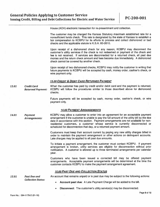<span id="page-10-0"></span>House (ACH) electronic transaction for re-presentment and collection.

The customer may be charged the Kansas Statutory maximum established rate for <sup>a</sup> nonsufficient funds check. This rate is designated by the state of Kansas to establish <sup>a</sup> fair compensation to KCBPU for its efforts to process and collect dishonored or bad checks and the applicable statute is K.S.A. 60-2610.

Upon receipt of <sup>a</sup> dishonored check for any reason, KCBPU may disconnect the customer's utility services if the check is not redeemed or paymen<sup>t</sup> of the check and fee is not received. If services are disconnected for <sup>a</sup> returned check, all pas<sup>t</sup> due monies and the return check amount and fees become due immediately. A dishonored check cannot be covered by another check.

Upon receipt of two dishonored checks, KCBPU may notify the customer in writing that future payments to KCBPU will be accepted by cash, money order, cashier's check, or wire paymen<sup>t</sup> only.

#### 13.00 CREDIT & DEBIT CARD RETURNED PAYMENT

13.01 Credit Card When the customer has paid by credit and/or debit card and the payment is returned, Returned Payment: KCBPU will follow the procedures similar to those described above for dishonored checks.

> Future payments will be accepted by cash, money order, cashier's check, or wire paymen<sup>t</sup> only.

#### 14.00 PA YMENT ARRANGEMENTS

14.01 Payment KCBPU may allow a customer to enter into an agreement for an acceptable payment Arrangements: arrangemen<sup>t</sup> if the customer is unable to pay the full amount of the utility bill by the due date in accordance with this section. Payment arrangements are not available for non residential customers, <sup>a</sup> customer whose service is currently disconnected or scheduled for disconnection that day, or <sup>a</sup> returned paymen<sup>t</sup> amount.

> Customers must keep their account current by paying any new utility charges billed in order to maintain the paymen<sup>t</sup> arrangemen<sup>t</sup> or other actions on delinquent accounts. Late charges may be applied to all pas<sup>t</sup> due amounts.

> To initiate <sup>a</sup> paymen<sup>t</sup> arrangement, the customer must contact KCBPU. If paymen<sup>t</sup> arrangemen<sup>t</sup> is broken, utility services are eligible for disconnection without prior notification. A customer is allowed up to three terminated arrangements per calendar year.

> Customers who have been issued <sup>a</sup> corrected bill may be offered paymen<sup>t</sup> arrangements. Acceptable paymen<sup>t</sup> arrangements will be determined at the time the customer contacts KCBPU to make the paymen<sup>t</sup> arrangemen<sup>t</sup> agreement.

#### **15.00 PAST DUE AND COLLECTION STATUS**

Collection Status:

15.01 Past Due and An account that remains unpaid or is past due may be subject to the following actions:

- •Account pas<sup>t</sup> due: A Late Payment Charge will be added to the bill.
- •Disconnect: The customer's utility service(s) may be disconnected.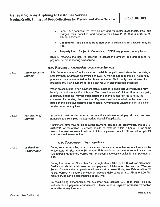<span id="page-11-0"></span>

|       |                                             | Fees: A disconnect fee may be charged for meter disconnects. Past due<br>٠<br>charges, fees, penalties, and deposits may have to be paid in order to re-<br>establish services.                                                                                                                                                                                                                                                                                                       |
|-------|---------------------------------------------|---------------------------------------------------------------------------------------------------------------------------------------------------------------------------------------------------------------------------------------------------------------------------------------------------------------------------------------------------------------------------------------------------------------------------------------------------------------------------------------|
|       |                                             | Collections: The bill may be turned over to collections or a lawsuit may be<br>٠<br>filed.                                                                                                                                                                                                                                                                                                                                                                                            |
|       |                                             | Property Lien: Subject to Kansas law, KCBPU may pursue property liens.<br>٠                                                                                                                                                                                                                                                                                                                                                                                                           |
|       |                                             | KCBPU reserves the right to continue to collect the amount due and require full<br>payment before rendering new service.                                                                                                                                                                                                                                                                                                                                                              |
|       |                                             | <b>16.00 DISCONNECTION AND RESTORATION OF SERVICE</b>                                                                                                                                                                                                                                                                                                                                                                                                                                 |
| 16.01 | <b>Disconnection of</b><br>Service:         | If the "amount due now" as indicated on the bill is not paid on or before the due date, a<br>Late Payment Charge as determined by KCBPU may be added to the bill. A courtesy<br>phone call may be attempted to the phone number on file to notify the customer of a<br>late payment. Non-payment of the bill can result in disconnection of service.                                                                                                                                  |
|       |                                             | When an account is in non-payment status, a notice is given that utility services may<br>be eligible for disconnection; this is a "Disconnection Notice". If the bill remains unpaid,<br>a courtesy phone call may be attempted to the phone number on file to notify the<br>customer of a pending disconnection. Payment must be made before the cutoff date<br>noted on the bill to avoid being disconnected. Any previous unpaid amount is eligible<br>for disconnect at any time. |
| 16.02 | <b>Restoration of</b><br>Service:           | In order to restore disconnected service the customer must pay all past due fees,<br>penalties, and bills, plus the appropriate deposit if applicable.                                                                                                                                                                                                                                                                                                                                |
|       |                                             | Customers, after making the required payment, can call the confirmation line at 913-<br>573-9191 for restoration. Services should be restored within 2 hours. If for some<br>reason the services are not restored in 2 hours, please contact BPU and allow up to 24<br>hours for service restoration.                                                                                                                                                                                 |
|       |                                             | <b>17.00 COLD AND HOT WEATHER RULE</b>                                                                                                                                                                                                                                                                                                                                                                                                                                                |
| 17.01 | <b>Cold and Hot</b><br><b>Weather Rule:</b> | During summer months, on any day when the National Weather service forecasts the<br>temperature will rise above 95 degrees Fahrenheit, or the heat index will rise above<br>105 degrees Fahrenheit, KCBPU will not disconnect electric service for non-payment of<br>bills.                                                                                                                                                                                                           |
|       |                                             | During the period of November 1st through March 31st, KCBPU will not disconnect<br>Residential electric customers for non-payment of bills when the National Weather<br>Service forecasts the temperature will remain at or below 32 degrees Fahrenheit for 24<br>hours. KCBPU will check the weather forecasts daily between 8:00 AM and 9:00 AM.<br>Water service can be disconnected at any time.                                                                                  |
|       |                                             | To avoid being disconnected, the customer must contact KCBPU to check eligibility<br>and establish a payment arrangement. Please refer to Payment Arrangement section<br>for additional requirements.                                                                                                                                                                                                                                                                                 |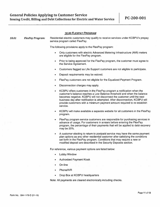<span id="page-12-0"></span>

|       |                         | <b>18.00 FLEXPAY PROGRAM</b>                                                                                                                                                                                                                                                                                                                                                                              |
|-------|-------------------------|-----------------------------------------------------------------------------------------------------------------------------------------------------------------------------------------------------------------------------------------------------------------------------------------------------------------------------------------------------------------------------------------------------------|
| 18.01 | <b>FlexPay Program:</b> | Residential electric customers may qualify to receive services under KCBPU's prepay<br>service program called FlexPay.                                                                                                                                                                                                                                                                                    |
|       |                         | The following provisions apply to the FlexPay program:                                                                                                                                                                                                                                                                                                                                                    |
|       |                         | Only customers with electric Advanced Metering Infrastructure (AMI) meters<br>۰<br>are eligible for the FlexPay program.                                                                                                                                                                                                                                                                                  |
|       |                         | Prior to being approved for the FlexPay program, the customer must agree to<br>۰<br>the Service Agreement.                                                                                                                                                                                                                                                                                                |
|       |                         | Customers flagged as Life Support customers are not eligible to participate.<br>۰                                                                                                                                                                                                                                                                                                                         |
|       |                         | Deposit requirements may be waived.<br>۰                                                                                                                                                                                                                                                                                                                                                                  |
|       |                         | FlexPay customers are not eligible for the Equalized Payment Program.<br>۰                                                                                                                                                                                                                                                                                                                                |
|       |                         | Disconnection charges may apply.<br>۰                                                                                                                                                                                                                                                                                                                                                                     |
|       |                         | KCBPU offers customers in the FlexPay program a notification when the<br>۰<br>customer's balance reaches a Low Balance threshold and when the balance<br>becomes negative. KCBPU will not disconnect the customer until the next<br>business day after notification is attempted. After disconnection, KCBPU will<br>provide customers with a minimum payment amount required to re-establish<br>service. |
|       |                         | KCBPU will make available a separate website for all customers in the FlexPay<br>$\bullet$<br>program.                                                                                                                                                                                                                                                                                                    |
|       |                         | FlexPay program service customers are responsible for purchasing services in<br>۰<br>advance of usage. For customers in arrears before entering the FlexPay<br>program, the percentage of their payments that will be applied to debt recovery<br>may be 25%.                                                                                                                                             |
|       |                         | A customer electing to return to postpaid service may have the same payment<br>۰<br>plan options as any other residential customer after satisfying the conditions<br>set forth in the FlexPay program. Conditions that may require a new or<br>modified deposit are described in the Security Deposits section.                                                                                          |
|       |                         | For reference, various payment options are listed below:                                                                                                                                                                                                                                                                                                                                                  |
|       |                         | <b>Lobby Window</b><br>$\bullet$                                                                                                                                                                                                                                                                                                                                                                          |
|       |                         | <b>Authorized Payment Kiosk</b><br>۰                                                                                                                                                                                                                                                                                                                                                                      |
|       |                         | On-line<br>۰                                                                                                                                                                                                                                                                                                                                                                                              |
|       |                         | Phone/IVR<br>٠                                                                                                                                                                                                                                                                                                                                                                                            |
|       |                         | Drop Box at KCBPU headquarters<br>۰                                                                                                                                                                                                                                                                                                                                                                       |
|       |                         | Note: All payments are cleared electronically including checks.                                                                                                                                                                                                                                                                                                                                           |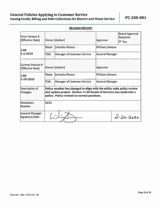### General Policies Applying to Customer Service Issuing Credit, Billing and Debt Collections for Electric and Water Service PC-200-001

| <b>Prior Version #</b><br>[Effective Date]   | <b>Owner [Author]</b>                                                                                                                                                                          |                                    | <b>Board Approval</b><br>Required<br>Approver<br>$\overline{Y}$ Yes |           |
|----------------------------------------------|------------------------------------------------------------------------------------------------------------------------------------------------------------------------------------------------|------------------------------------|---------------------------------------------------------------------|-----------|
| 2.00                                         | Name                                                                                                                                                                                           | Johnetta Hinson                    | William Johnson                                                     |           |
| $5 - 1 - 2019$                               | <b>Title</b>                                                                                                                                                                                   | <b>Manager of Customer Service</b> | <b>General Manager</b>                                              |           |
| <b>Current Version #</b><br>[Effective Date] | <b>Owner [Author]</b>                                                                                                                                                                          |                                    | Approver                                                            |           |
| 1.00                                         | <b>Name</b>                                                                                                                                                                                    | Johnetta Hinson                    | William Johnson                                                     |           |
| 2-19-2020                                    | Title                                                                                                                                                                                          | <b>Manager of Customer Service</b> | <b>General Manager</b>                                              |           |
| Description of<br><b>Changes:</b>            | Policy number has changed to align with the utility wide policy review<br>and update project. Section 11.00 Resale of Services was made into a<br>policy. Policy revised to current practices. |                                    |                                                                     |           |
| <b>Resolution</b><br><b>Number</b>           | 5251                                                                                                                                                                                           |                                    |                                                                     |           |
| <b>General Manager</b><br>Signature/Date     |                                                                                                                                                                                                |                                    |                                                                     | 2.20.2020 |

#### **REVISION HISTORY**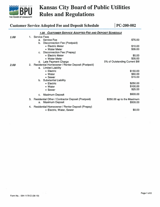<span id="page-14-0"></span>

## **KANSAS CITY RULES AND RULES AND RULES AND RULES AND RULES AND REGULATIONS**

|      | <b>Customer Service Adopted Fee and Deposit Schedule</b>                             | PC-200-002                             |
|------|--------------------------------------------------------------------------------------|----------------------------------------|
|      | <b>CUSTOMER SERVICE ADOPTED FEE AND DEPOSIT SCHEDULE</b><br>1.00                     |                                        |
| 1.00 | 1. Service Fees                                                                      |                                        |
|      | a. Service Fee                                                                       | \$75.00                                |
|      | Disconnection Fee (Postpaid)<br>b.                                                   |                                        |
|      | • Electric Meter                                                                     | \$10.00                                |
|      | • Water Meter                                                                        | \$35,00                                |
|      | <b>Disconnection Fee (Prepay)</b><br>$C_{\rm{max}}$                                  |                                        |
|      | • Electric Meter                                                                     | \$0.00                                 |
|      | • Water Meter                                                                        | \$35.00                                |
|      | d. Late Payment Charge                                                               | 5% of Outstanding Current Bill         |
| 2.00 | 2. Residential Homeowner / Renter Deposit (Postpaid)                                 |                                        |
|      | <b>Limited Liability</b><br>a.                                                       |                                        |
|      | • Electric                                                                           | \$150.00                               |
|      | • Water                                                                              | \$60.00                                |
|      | • Sewer                                                                              | \$15.00                                |
|      | b. Substantial Liability                                                             |                                        |
|      | • Electric                                                                           | \$250.00                               |
|      | • Water                                                                              | \$100.00                               |
|      | • Sewer                                                                              | \$25.00                                |
|      | <b>Maximum Deposit</b><br>C.                                                         | \$500.00                               |
|      | 3. Residential Other / Contractor Deposit (Postpaid)<br><b>Maximum Deposit</b><br>a. | \$250.00 up to the Maximum<br>\$500.00 |
|      | 4. Residential Homeowner / Renter Deposit (Prepay)                                   |                                        |
|      | • Electric, Water, Sewer                                                             | \$0.00                                 |